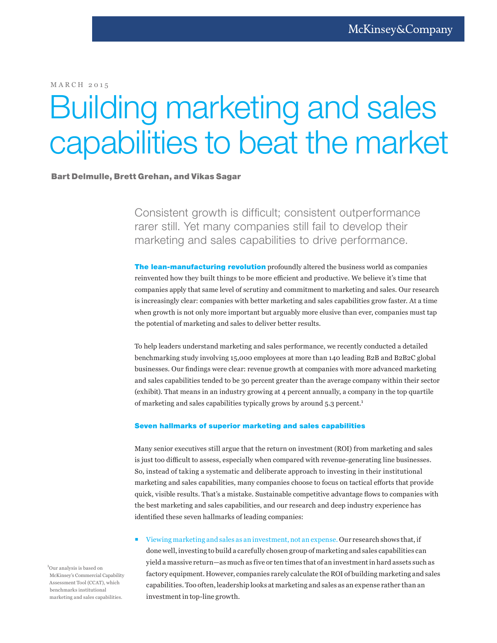MARCH 2015

## Building marketing and sales capabilities to beat the market

## Bart Delmulle, Brett Grehan, and Vikas Sagar

Consistent growth is difficult; consistent outperformance rarer still. Yet many companies still fail to develop their marketing and sales capabilities to drive performance.

The lean-manufacturing revolution profoundly altered the business world as companies reinvented how they built things to be more efficient and productive. We believe it's time that companies apply that same level of scrutiny and commitment to marketing and sales. Our research is increasingly clear: companies with better marketing and sales capabilities grow faster. At a time when growth is not only more important but arguably more elusive than ever, companies must tap the potential of marketing and sales to deliver better results.

To help leaders understand marketing and sales performance, we recently conducted a detailed benchmarking study involving 15,000 employees at more than 140 leading B2B and B2B2C global businesses. Our findings were clear: revenue growth at companies with more advanced marketing and sales capabilities tended to be 30 percent greater than the average company within their sector (exhibit). That means in an industry growing at 4 percent annually, a company in the top quartile of marketing and sales capabilities typically grows by around 5.3 percent.<sup>1</sup>

## Seven hallmarks of superior marketing and sales capabilities

Many senior executives still argue that the return on investment (ROI) from marketing and sales is just too difficult to assess, especially when compared with revenue-generating line businesses. So, instead of taking a systematic and deliberate approach to investing in their institutional marketing and sales capabilities, many companies choose to focus on tactical efforts that provide quick, visible results. That's a mistake. Sustainable competitive advantage flows to companies with the best marketing and sales capabilities, and our research and deep industry experience has identified these seven hallmarks of leading companies:

 Viewing marketing and sales as an investment, not an expense. Our research shows that, if done well, investing to build a carefully chosen group of marketing and sales capabilities can yield a massive return—as much as five or ten times that of an investment in hard assets such as factory equipment. However, companies rarely calculate the ROI of building marketing and sales capabilities. Too often, leadership looks at marketing and sales as an expense rather than an investment in top-line growth.

<sup>1</sup>Our analysis is based on McKinsey's Commercial Capability Assessment Tool (CCAT), which benchmarks institutional marketing and sales capabilities.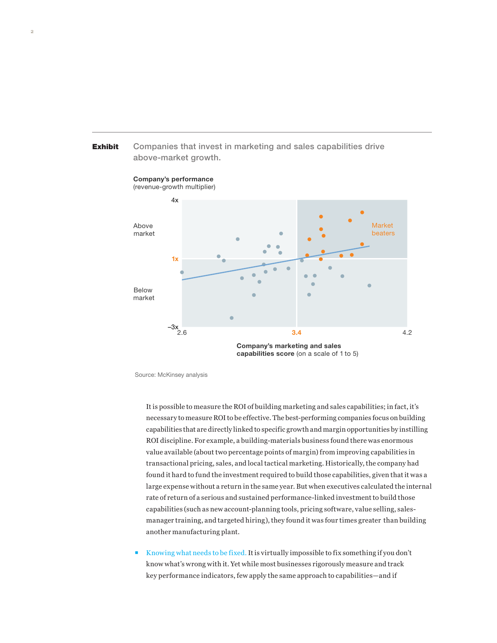

Companies that invest in marketing and sales capabilities drive

Source: McKinsey analysis

It is possible to measure the ROI of building marketing and sales capabilities; in fact, it's necessary to measure ROI to be effective. The best-performing companies focus on building capabilities that are directly linked to specific growth and margin opportunities by instilling ROI discipline. For example, a building-materials business found there was enormous value available (about two percentage points of margin) from improving capabilities in transactional pricing, sales, and local tactical marketing. Historically, the company had found it hard to fund the investment required to build those capabilities, given that it was a large expense without a return in the same year. But when executives calculated the internal rate of return of a serious and sustained performance-linked investment to build those capabilities (such as new account-planning tools, pricing software, value selling, salesmanager training, and targeted hiring), they found it was four times greater than building another manufacturing plant.

 Knowing what needs to be fixed. It is virtually impossible to fix something if you don't know what's wrong with it. Yet while most businesses rigorously measure and track key performance indicators, few apply the same approach to capabilities—and if

Exhibit

Exhibit 1 of 1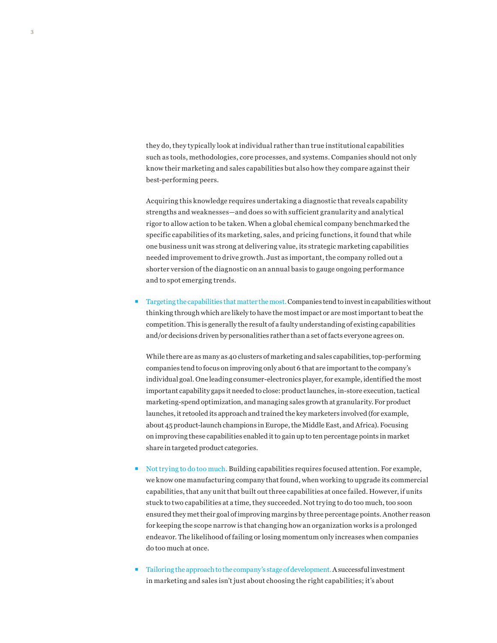they do, they typically look at individual rather than true institutional capabilities such as tools, methodologies, core processes, and systems. Companies should not only know their marketing and sales capabilities but also how they compare against their best-performing peers.

Acquiring this knowledge requires undertaking a diagnostic that reveals capability strengths and weaknesses—and does so with sufficient granularity and analytical rigor to allow action to be taken. When a global chemical company benchmarked the specific capabilities of its marketing, sales, and pricing functions, it found that while one business unit was strong at delivering value, its strategic marketing capabilities needed improvement to drive growth. Just as important, the company rolled out a shorter version of the diagnostic on an annual basis to gauge ongoing performance and to spot emerging trends.

 Targeting the capabilities that matter the most. Companies tend to invest in capabilities without thinking through which are likely to have the most impact or are most important to beat the competition. This is generally the result of a faulty understanding of existing capabilities and/or decisions driven by personalities rather than a set of facts everyone agrees on.

While there are as many as 40 clusters of marketing and sales capabilities, top-performing companies tend to focus on improving only about 6 that are important to the company's individual goal. One leading consumer-electronics player, for example, identified the most important capability gaps it needed to close: product launches, in-store execution, tactical marketing-spend optimization, and managing sales growth at granularity. For product launches, it retooled its approach and trained the key marketers involved (for example, about 45 product-launch champions in Europe, the Middle East, and Africa). Focusing on improving these capabilities enabled it to gain up to ten percentage points in market share in targeted product categories.

- Not trying to do too much. Building capabilities requires focused attention. For example, we know one manufacturing company that found, when working to upgrade its commercial capabilities, that any unit that built out three capabilities at once failed. However, if units stuck to two capabilities at a time, they succeeded. Not trying to do too much, too soon ensured they met their goal of improving margins by three percentage points. Another reason for keeping the scope narrow is that changing how an organization works is a prolonged endeavor. The likelihood of failing or losing momentum only increases when companies do too much at once.
- $\blacksquare$  Tailoring the approach to the company's stage of development. A successful investment in marketing and sales isn't just about choosing the right capabilities; it's about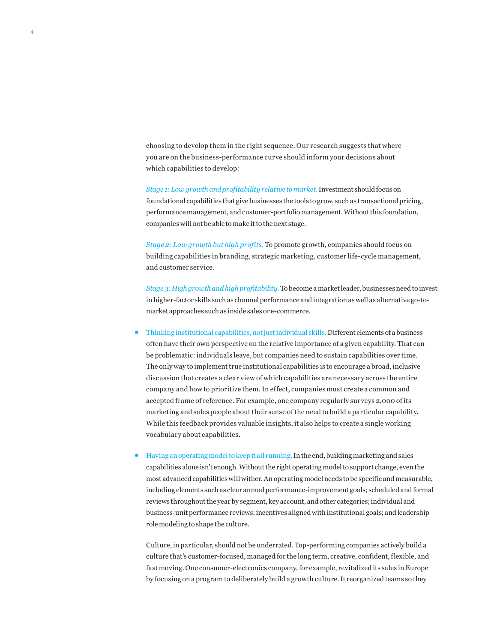choosing to develop them in the right sequence. Our research suggests that where you are on the business-performance curve should inform your decisions about which capabilities to develop:

*Stage 1: Low growth and profitability relative to market.* Investment should focus on foundational capabilities that give businesses the tools to grow, such as transactional pricing, performance management, and customer-portfolio management. Without this foundation, companies will not be able to make it to the next stage.

*Stage 2: Low growth but high profits.* To promote growth, companies should focus on building capabilities in branding, strategic marketing, customer life-cycle management, and customer service.

*Stage 3: High growth and high profitability.* To become a market leader, businesses need to invest in higher-factor skills such as channel performance and integration as well as alternative go-tomarket approaches such as inside sales or e-commerce.

- Thinking institutional capabilities, not just individual skills. Different elements of a business often have their own perspective on the relative importance of a given capability. That can be problematic: individuals leave, but companies need to sustain capabilities over time. The only way to implement true institutional capabilities is to encourage a broad, inclusive discussion that creates a clear view of which capabilities are necessary across the entire company and how to prioritize them. In effect, companies must create a common and accepted frame of reference. For example, one company regularly surveys 2,000 of its marketing and sales people about their sense of the need to build a particular capability. While this feedback provides valuable insights, it also helps to create a single working vocabulary about capabilities.
- **Having an operating model to keep it all running. In the end, building marketing and sales** capabilities alone isn't enough. Without the right operating model to support change, even the most advanced capabilities will wither. An operating model needs to be specific and measurable, including elements such as clear annual performance-improvement goals; scheduled and formal reviews throughout the year by segment, key account, and other categories; individual and business-unit performance reviews; incentives aligned with institutional goals; and leadership role modeling to shape the culture.

Culture, in particular, should not be underrated. Top-performing companies actively build a culture that's customer-focused, managed for the long term, creative, confident, flexible, and fast moving. One consumer-electronics company, for example, revitalized its sales in Europe by focusing on a program to deliberately build a growth culture. It reorganized teams so they